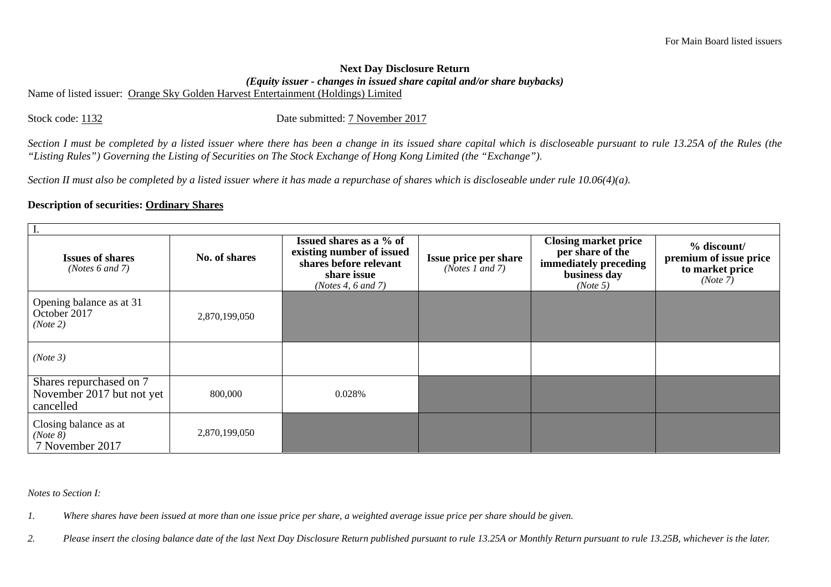## **Next Day Disclosure Return**  *(Equity issuer - changes in issued share capital and/or share buybacks)*

Name of listed issuer: Orange Sky Golden Harvest Entertainment (Holdings) Limited

Stock code: 1132 Date submitted: 7 November 2017

*Section I must be completed by a listed issuer where there has been a change in its issued share capital which is discloseable pursuant to rule 13.25A of the Rules (the "Listing Rules") Governing the Listing of Securities on The Stock Exchange of Hong Kong Limited (the "Exchange").* 

*Section II must also be completed by a listed issuer where it has made a repurchase of shares which is discloseable under rule 10.06(4)(a).* 

## **Description of securities: Ordinary Shares**

| <b>Issues of shares</b><br>(Notes $6$ and $7$ )                   | No. of shares | Issued shares as a % of<br>existing number of issued<br>shares before relevant<br>share issue<br>(Notes 4, 6 and 7) | Issue price per share<br>(Notes 1 and 7) | <b>Closing market price</b><br>per share of the<br>immediately preceding<br>business day<br>(Note 5) | % discount/<br>premium of issue price<br>to market price<br>(Note 7) |  |  |  |  |
|-------------------------------------------------------------------|---------------|---------------------------------------------------------------------------------------------------------------------|------------------------------------------|------------------------------------------------------------------------------------------------------|----------------------------------------------------------------------|--|--|--|--|
| Opening balance as at 31<br>October 2017<br>(Note 2)              | 2,870,199,050 |                                                                                                                     |                                          |                                                                                                      |                                                                      |  |  |  |  |
| (Note 3)                                                          |               |                                                                                                                     |                                          |                                                                                                      |                                                                      |  |  |  |  |
| Shares repurchased on 7<br>November 2017 but not yet<br>cancelled | 800,000       | 0.028%                                                                                                              |                                          |                                                                                                      |                                                                      |  |  |  |  |
| Closing balance as at<br>(Note 8)<br>7 November 2017              | 2,870,199,050 |                                                                                                                     |                                          |                                                                                                      |                                                                      |  |  |  |  |

*Notes to Section I:* 

*1. Where shares have been issued at more than one issue price per share, a weighted average issue price per share should be given.* 

*2. Please insert the closing balance date of the last Next Day Disclosure Return published pursuant to rule 13.25A or Monthly Return pursuant to rule 13.25B, whichever is the later.*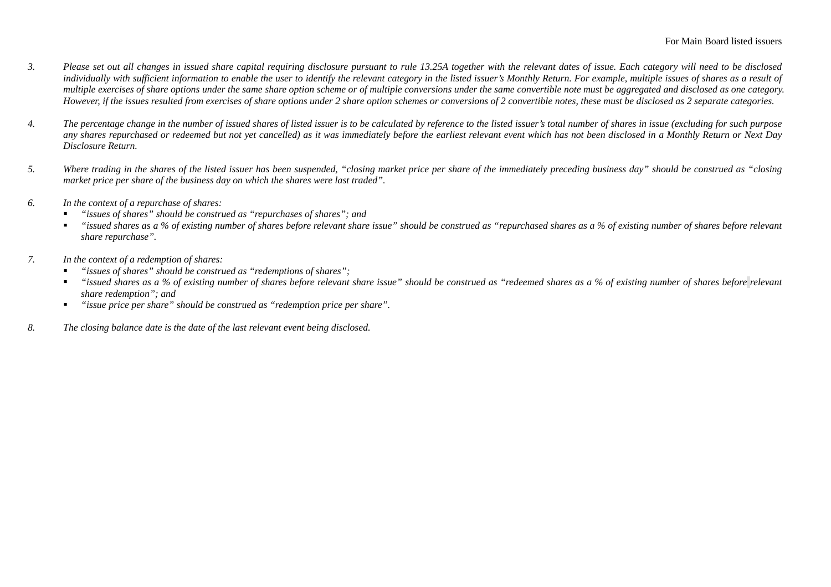- *3. Please set out all changes in issued share capital requiring disclosure pursuant to rule 13.25A together with the relevant dates of issue. Each category will need to be disclosed*  individually with sufficient information to enable the user to identify the relevant category in the listed issuer's Monthly Return. For example, multiple issues of shares as a result of *multiple exercises of share options under the same share option scheme or of multiple conversions under the same convertible note must be aggregated and disclosed as one category. However, if the issues resulted from exercises of share options under 2 share option schemes or conversions of 2 convertible notes, these must be disclosed as 2 separate categories.*
- *4. The percentage change in the number of issued shares of listed issuer is to be calculated by reference to the listed issuer's total number of shares in issue (excluding for such purpose any shares repurchased or redeemed but not yet cancelled) as it was immediately before the earliest relevant event which has not been disclosed in a Monthly Return or Next Day Disclosure Return.*
- *5. Where trading in the shares of the listed issuer has been suspended, "closing market price per share of the immediately preceding business day" should be construed as "closing market price per share of the business day on which the shares were last traded".*
- *6. In the context of a repurchase of shares:* 
	- *"issues of shares" should be construed as "repurchases of shares"; and*
	- $\blacksquare$  *"issued shares as a % of existing number of shares before relevant share issue" should be construed as "repurchased shares as a % of existing number of shares before relevant share repurchase".*
- *7. In the context of a redemption of shares:* 
	- *"issues of shares" should be construed as "redemptions of shares";*
	- г *"issued shares as a % of existing number of shares before relevant share issue" should be construed as "redeemed shares as a % of existing number of shares before relevant share redemption"; and*
	- $\mathbf{u}$  . *"issue price per share" should be construed as "redemption price per share".*
- *8. The closing balance date is the date of the last relevant event being disclosed.*